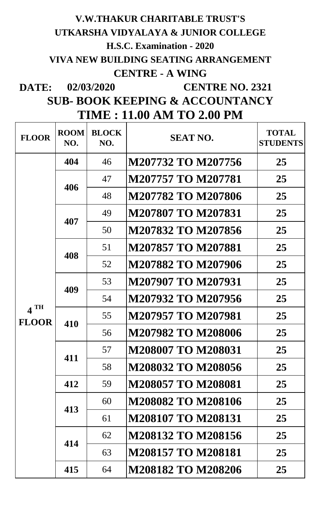## **DATE: V.W.THAKUR CHARITABLE TRUST'S UTKARSHA VIDYALAYA & JUNIOR COLLEGE H.S.C. Examination - 2020 VIVA NEW BUILDING SEATING ARRANGEMENT CENTRE - A WING 02/03/2020 CENTRE NO. 2321**

**SUB- BOOK KEEPING & ACCOUNTANCY TIME : 11.00 AM TO 2.00 PM**

| <b>FLOOR</b>           | <b>ROOM</b><br>NO. | <b>BLOCK</b><br>NO. | <b>SEAT NO.</b>           | <b>TOTAL</b><br><b>STUDENTS</b> |
|------------------------|--------------------|---------------------|---------------------------|---------------------------------|
| $4$ TH<br><b>FLOOR</b> | 404                | 46                  | M207732 TO M207756        | 25                              |
|                        | 406                | 47                  | M207757 TO M207781        | 25                              |
|                        |                    | 48                  | M207782 TO M207806        | 25                              |
|                        | 407                | 49                  | <b>M207807 TO M207831</b> | 25                              |
|                        |                    | 50                  | M207832 TO M207856        | 25                              |
|                        | 408                | 51                  | M207857 TO M207881        | 25                              |
|                        |                    | 52                  | M207882 TO M207906        | 25                              |
|                        | 409                | 53                  | M207907 TO M207931        | 25                              |
|                        |                    | 54                  | M207932 TO M207956        | 25                              |
|                        | 410                | 55                  | M207957 TO M207981        | 25                              |
|                        |                    | 56                  | M207982 TO M208006        | 25                              |
|                        | 411                | 57                  | <b>M208007 TO M208031</b> | 25                              |
|                        |                    | 58                  | M208032 TO M208056        | 25                              |
|                        | 412                | 59                  | <b>M208057 TO M208081</b> | 25                              |
|                        | 413                | 60                  | <b>M208082 TO M208106</b> | 25                              |
|                        |                    | 61                  | <b>M208107 TO M208131</b> | 25                              |
|                        | 414                | 62                  | M208132 TO M208156        | 25                              |
|                        |                    | 63                  | <b>M208157 TO M208181</b> | 25                              |
|                        | 415                | 64                  | <b>M208182 TO M208206</b> | 25                              |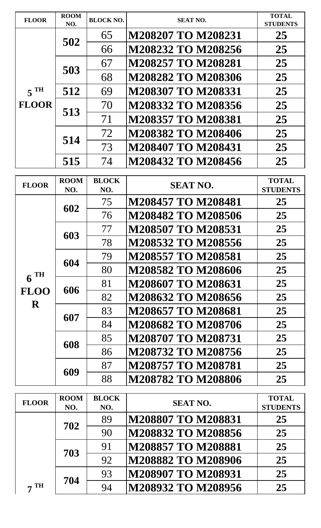| <b>FLOOR</b>      | <b>ROOM</b><br>NO. | <b>BLOCK NO.</b> | <b>SEAT NO.</b>           | <b>TOTAL</b><br><b>STUDENTS</b> |
|-------------------|--------------------|------------------|---------------------------|---------------------------------|
|                   | 502                | 65               | <b>M208207 TO M208231</b> | 25                              |
|                   |                    | 66               | M208232 TO M208256        | 25                              |
|                   | 503                | 67               | <b>M208257 TO M208281</b> | 25                              |
|                   |                    | 68               | M208282 TO M208306        | 25                              |
| 5 <sup>TH</sup>   | 512                | 69               | M208307 TO M208331        | 25                              |
| <b>FLOOR</b>      | 513                | 70               | M208332 TO M208356        | 25                              |
|                   |                    | 71               | M208357 TO M208381        | 25                              |
|                   | 514                | 72               | M208382 TO M208406        | 25                              |
|                   |                    | 73               | M208407 TO M208431        | 25                              |
|                   | 515                | 74               | M208432 TO M208456        | 25                              |
|                   | <b>ROOM</b>        | <b>BLOCK</b>     |                           | <b>TOTAL</b>                    |
| <b>FLOOR</b>      | NO.                | NO.              | <b>SEAT NO.</b>           | <b>STUDENTS</b>                 |
|                   | 602                | 75               | M208457 TO M208481        | 25                              |
|                   |                    | 76               | M208482 TO M208506        | 25                              |
|                   | 603                | 77               | M208507 TO M208531        | 25                              |
|                   |                    | 78               | M208532 TO M208556        | 25                              |
|                   | 604                | 79               | M208557 TO M208581        | 25                              |
| $6$ <sup>TH</sup> |                    | 80               | M208582 TO M208606        | 25                              |
| <b>FLOO</b>       | 606                | 81               | M208607 TO M208631        | 25                              |
| $\mathbf R$       |                    | 82               | M208632 TO M208656        | 25                              |
|                   | 607                | 83               | <b>M208657 TO M208681</b> | 25                              |
|                   |                    | 84               | M208682 TO M208706        | 25                              |
|                   | 608                | 85               | M208707 TO M208731        | 25                              |
|                   |                    | 86               | M208732 TO M208756        | 25                              |
|                   | 609                | 87               | <b>M208757 TO M208781</b> | 25                              |
|                   |                    | 88               | M208782 TO M208806        | 25                              |
| <b>FLOOR</b>      | <b>ROOM</b>        | <b>BLOCK</b>     | <b>SEAT NO.</b>           | <b>TOTAL</b>                    |
|                   | NO.                | NO.              |                           | <b>STUDENTS</b>                 |
|                   | 702<br>703<br>704  | 89               | M208807 TO M208831        | 25                              |
|                   |                    | 90               | M208832 TO M208856        | 25                              |
|                   |                    | 91               | M208857 TO M208881        | 25                              |
| <b>TH</b>         |                    | 92               | M208882 TO M208906        | 25                              |
|                   |                    | 93               | M208907 TO M208931        | 25                              |
|                   |                    | 94               | M208932 TO M208956        | 25                              |